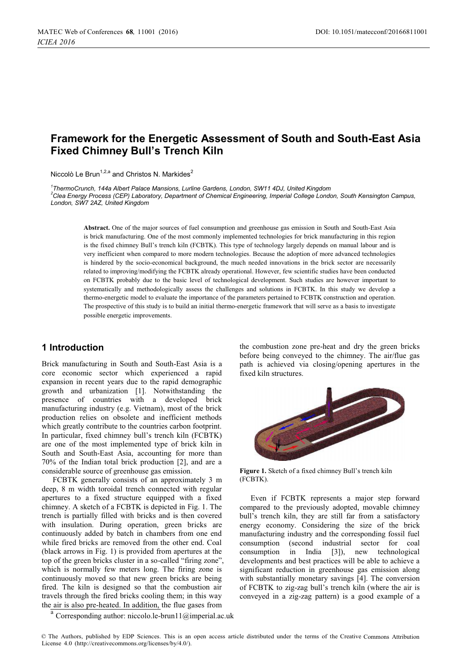# **Framework for the Energetic Assessment of South and South-East Asia Fixed Chimney Bull's Trench Kiln**

Niccolò Le Brun<sup>1,2,a</sup> and Christos N. Markides<sup>2</sup>

*1 ThermoCrunch, 144a Albert Palace Mansions, Lurline Gardens, London, SW11 4DJ, United Kingdom 2 Clea Energy Process (CEP) Laboratory, Department of Chemical Engineering, Imperial College London, South Kensington Campus, London, SW7 2AZ, United Kingdom* 

**Abstract.** One of the major sources of fuel consumption and greenhouse gas emission in South and South-East Asia is brick manufacturing. One of the most commonly implemented technologies for brick manufacturing in this region is the fixed chimney Bull's trench kiln (FCBTK). This type of technology largely depends on manual labour and is very inefficient when compared to more modern technologies. Because the adoption of more advanced technologies is hindered by the socio-economical background, the much needed innovations in the brick sector are necessarily related to improving/modifying the FCBTK already operational. However, few scientific studies have been conducted on FCBTK probably due to the basic level of technological development. Such studies are however important to systematically and methodologically assess the challenges and solutions in FCBTK. In this study we develop a thermo-energetic model to evaluate the importance of the parameters pertained to FCBTK construction and operation. The prospective of this study is to build an initial thermo-energetic framework that will serve as a basis to investigate possible energetic improvements.

# **1 Introduction**

Brick manufacturing in South and South-East Asia is a core economic sector which experienced a rapid expansion in recent years due to the rapid demographic growth and urbanization [1]. Notwithstanding the presence of countries with a developed brick manufacturing industry (e.g. Vietnam), most of the brick production relies on obsolete and inefficient methods which greatly contribute to the countries carbon footprint. In particular, fixed chimney bull's trench kiln (FCBTK) are one of the most implemented type of brick kiln in South and South-East Asia, accounting for more than 70% of the Indian total brick production [2], and are a considerable source of greenhouse gas emission.

FCBTK generally consists of an approximately 3 m deep, 8 m width toroidal trench connected with regular apertures to a fixed structure equipped with a fixed chimney. A sketch of a FCBTK is depicted in Fig. 1. The trench is partially filled with bricks and is then covered with insulation. During operation, green bricks are continuously added by batch in chambers from one end while fired bricks are removed from the other end. Coal (black arrows in Fig. 1) is provided from apertures at the top of the green bricks cluster in a so-called "firing zone", which is normally few meters long. The firing zone is continuously moved so that new green bricks are being fired. The kiln is designed so that the combustion air travels through the fired bricks cooling them; in this way the air is also pre-heated. In addition, the flue gases from

the combustion zone pre-heat and dry the green bricks before being conveyed to the chimney. The air/flue gas path is achieved via closing/opening apertures in the fixed kiln structures.



**Figure 1.** Sketch of a fixed chimney Bull's trench kiln (FCBTK).

Even if FCBTK represents a major step forward compared to the previously adopted, movable chimney bull's trench kiln, they are still far from a satisfactory energy economy. Considering the size of the brick manufacturing industry and the corresponding fossil fuel consumption (second industrial sector for coal consumption in India [3]), new technological developments and best practices will be able to achieve a significant reduction in greenhouse gas emission along with substantially monetary savings [4]. The conversion of FCBTK to zig-zag bull's trench kiln (where the air is conveyed in a zig-zag pattern) is a good example of a

<sup>a</sup> Corresponding author: [niccolo.le-brun11@imperial.ac.uk](mailto:niccolo.le-brun11@imperial.ac.uk)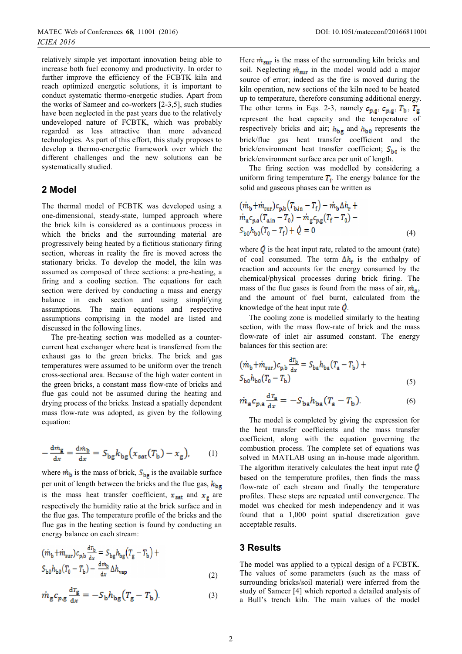relatively simple yet important innovation being able to increase both fuel economy and productivity. In order to further improve the efficiency of the FCBTK kiln and reach optimized energetic solutions, it is important to conduct systematic thermo-energetic studies. Apart from the works of Sameer and co-workers [2-3,5], such studies have been neglected in the past years due to the relatively undeveloped nature of FCBTK, which was probably regarded as less attractive than more advanced technologies. As part of this effort, this study proposes to develop a thermo-energetic framework over which the different challenges and the new solutions can be systematically studied.

### **2 Model**

The thermal model of FCBTK was developed using a one-dimensional, steady-state, lumped approach where the brick kiln is considered as a continuous process in which the bricks and the surrounding material are progressively being heated by a fictitious stationary firing section, whereas in reality the fire is moved across the stationary bricks. To develop the model, the kiln was assumed as composed of three sections: a pre-heating, a firing and a cooling section. The equations for each section were derived by conducting a mass and energy balance in each section and using simplifying assumptions. The main equations and respective assumptions comprising in the model are listed and discussed in the following lines.

The pre-heating section was modelled as a countercurrent heat exchanger where heat is transferred from the exhaust gas to the green bricks. The brick and gas temperatures were assumed to be uniform over the trench cross-sectional area. Because of the high water content in the green bricks, a constant mass flow-rate of bricks and flue gas could not be assumed during the heating and drying process of the bricks. Instead a spatially dependent mass flow-rate was adopted, as given by the following equation:

$$
-\frac{d\dot{m}_{\rm g}}{dx} = \frac{d\dot{m}_{\rm b}}{dx} = S_{\rm bg} k_{\rm bg} (x_{\rm sat}(T_{\rm b}) - x_{\rm g}), \qquad (1)
$$

where  $\dot{m}_b$  is the mass of brick,  $S_{bg}$  is the available surface per unit of length between the bricks and the flue gas,  $k_{\text{bg}}$ is the mass heat transfer coefficient,  $x_{\text{sat}}$  and  $x_{\text{g}}$  are respectively the humidity ratio at the brick surface and in the flue gas. The temperature profile of the bricks and the flue gas in the heating section is found by conducting an energy balance on each stream:

$$
\begin{aligned} \left( \dot{m}_{\rm b} + \dot{m}_{\rm sur} \right) c_{p,\rm b} \frac{d\tau_{\rm b}}{dx} &= S_{\rm bg} h_{\rm bg} \left( T_{\rm g} - T_{\rm b} \right) + \\ S_{\rm b0} h_{\rm b0} \left( T_0 - T_{\rm b} \right) - \frac{d\tau_{\rm b}}{dx} \Delta h_{\rm vap} \end{aligned} \tag{2}
$$

$$
\dot{m}_{\rm g}c_{p,\rm g}\frac{\rm d\it T_{\rm g}}{\rm d\it x}=-S_{\rm b}h_{\rm bg}\left(T_{\rm g}-T_{\rm b}\right) \eqno(3)
$$

Here  $\dot{m}_{\text{sur}}$  is the mass of the surrounding kiln bricks and soil. Neglecting  $\dot{m}_{\text{sur}}$  in the model would add a major source of error; indeed as the fire is moved during the kiln operation, new sections of the kiln need to be heated up to temperature, therefore consuming additional energy. The other terms in Eqs. 2-3, namely  $c_{p,g}$ ,  $c_{p,g}$ ,  $T_b$ ,  $T_g$ represent the heat capacity and the temperature of respectively bricks and air;  $h_{\text{bg}}$  and  $h_{\text{b0}}$  represents the brick/flue gas heat transfer coefficient and the brick/environment heat transfer coefficient;  $S_{\text{ho}}$  is the brick/environment surface area per unit of length.

The firing section was modelled by considering a uniform firing temperature  $T_f$ . The energy balance for the solid and gaseous phases can be written as

$$
(m_b + m_{\text{sur}})c_{p,b}(T_{b,in} - T_f) - m_b \Delta h_r +
$$
  
\n
$$
m_a c_{p,a}(T_{a,in} - T_0) - m_g c_{p,g}(T_f - T_0) -
$$
  
\n
$$
S_{b0}h_{b0}(T_0 - T_f) + \dot{Q} = 0
$$
\n(4)

where  $\dot{\mathbf{Q}}$  is the heat input rate, related to the amount (rate) of coal consumed. The term  $\Delta h_r$  is the enthalpy of reaction and accounts for the energy consumed by the chemical/physical processes during brick firing. The mass of the flue gases is found from the mass of air,  $\dot{m}_s$ , and the amount of fuel burnt, calculated from the knowledge of the heat input rate  $\dot{Q}$ .

The cooling zone is modelled similarly to the heating section, with the mass flow-rate of brick and the mass flow-rate of inlet air assumed constant. The energy balances for this section are:

$$
\begin{aligned} \left( \dot{m}_{\rm b} + \dot{m}_{\rm sur} \right) c_{\rm p,b} \frac{\mathrm{d}T_{\rm b}}{\mathrm{d}x} &= S_{\rm ba} h_{\rm ba} \left( T_{\rm a} - T_{\rm b} \right) + \\ S_{\rm b0} h_{\rm b0} \left( T_0 - T_{\rm b} \right) \end{aligned} \tag{5}
$$

$$
\dot{m}_a c_{p,a} \frac{\mathrm{d}T_a}{\mathrm{d}x} = -S_{ba} h_{ba} (T_a - T_b). \tag{6}
$$

The model is completed by giving the expression for the heat transfer coefficients and the mass transfer coefficient, along with the equation governing the combustion process. The complete set of equations was solved in MATLAB using an in-house made algorithm. The algorithm iteratively calculates the heat input rate  $$ based on the temperature profiles, then finds the mass flow-rate of each stream and finally the temperature profiles. These steps are repeated until convergence. The model was checked for mesh independency and it was found that a 1,000 point spatial discretization gave acceptable results.

#### **3 Results**

The model was applied to a typical design of a FCBTK. The values of some parameters (such as the mass of surrounding bricks/soil material) were inferred from the study of Sameer [4] which reported a detailed analysis of a Bull's trench kiln. The main values of the model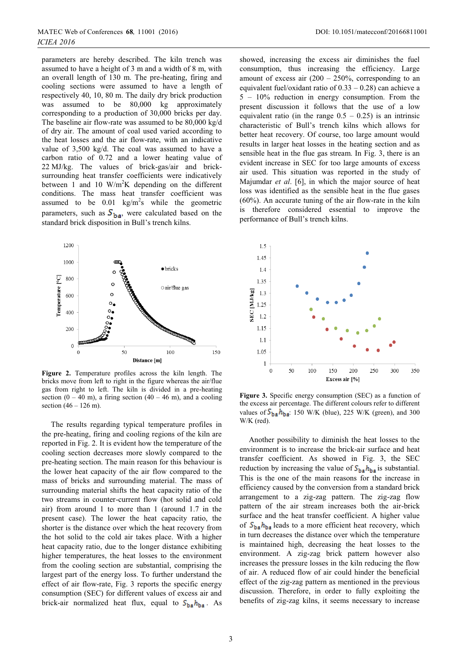parameters are hereby described. The kiln trench was assumed to have a height of 3 m and a width of 8 m, with an overall length of 130 m. The pre-heating, firing and cooling sections were assumed to have a length of respectively 40, 10, 80 m. The daily dry brick production was assumed to be 80,000 kg approximately corresponding to a production of 30,000 bricks per day. The baseline air flow-rate was assumed to be 80,000 kg/d of dry air. The amount of coal used varied according to the heat losses and the air flow-rate, with an indicative value of 3,500 kg/d. The coal was assumed to have a carbon ratio of 0.72 and a lower heating value of 22 MJ/kg. The values of brick-gas/air and bricksurrounding heat transfer coefficients were indicatively between 1 and 10  $W/m^2K$  depending on the different conditions. The mass heat transfer coefficient was assumed to be  $0.01 \text{ kg/m}^2$ s while the geometric parameters, such as  $S_{\text{ba}}$ , were calculated based on the standard brick disposition in Bull's trench kilns.



**Figure 2.** Temperature profiles across the kiln length. The bricks move from left to right in the figure whereas the air/flue gas from right to left. The kiln is divided in a pre-heating section  $(0 - 40 \text{ m})$ , a firing section  $(40 - 46 \text{ m})$ , and a cooling section  $(46 - 126)$  m).

The results regarding typical temperature profiles in the pre-heating, firing and cooling regions of the kiln are reported in Fig. 2. It is evident how the temperature of the cooling section decreases more slowly compared to the pre-heating section. The main reason for this behaviour is the lower heat capacity of the air flow compared to the mass of bricks and surrounding material. The mass of surrounding material shifts the heat capacity ratio of the two streams in counter-current flow (hot solid and cold air) from around 1 to more than 1 (around 1.7 in the present case). The lower the heat capacity ratio, the shorter is the distance over which the heat recovery from the hot solid to the cold air takes place. With a higher heat capacity ratio, due to the longer distance exhibiting higher temperatures, the heat losses to the environment from the cooling section are substantial, comprising the largest part of the energy loss. To further understand the effect of air flow-rate, Fig. 3 reports the specific energy consumption (SEC) for different values of excess air and brick-air normalized heat flux, equal to  $S_{ba}h_{ba}$ . As

3

showed, increasing the excess air diminishes the fuel consumption, thus increasing the efficiency. Large amount of excess air  $(200 - 250\%$ , corresponding to an equivalent fuel/oxidant ratio of  $0.33 - 0.28$ ) can achieve a 5 – 10% reduction in energy consumption. From the present discussion it follows that the use of a low equivalent ratio (in the range  $0.5 - 0.25$ ) is an intrinsic characteristic of Bull's trench kilns which allows for better heat recovery. Of course, too large amount would results in larger heat losses in the heating section and as sensible heat in the flue gas stream. In Fig. 3, there is an evident increase in SEC for too large amounts of excess air used. This situation was reported in the study of Majumdar *et al*. [6], in which the major source of heat loss was identified as the sensible heat in the flue gases (60%). An accurate tuning of the air flow-rate in the kiln is therefore considered essential to improve the performance of Bull's trench kilns.



**Figure 3.** Specific energy consumption (SEC) as a function of the excess air percentage. The different colours refer to different values of  $S_{ba}h_{ba}$ : 150 W/K (blue), 225 W/K (green), and 300 W/K (red).

Another possibility to diminish the heat losses to the environment is to increase the brick-air surface and heat transfer coefficient. As showed in Fig. 3, the SEC reduction by increasing the value of  $S_{ba}h_{ba}$  is substantial. This is the one of the main reasons for the increase in efficiency caused by the conversion from a standard brick arrangement to a zig-zag pattern. The zig-zag flow pattern of the air stream increases both the air-brick surface and the heat transfer coefficient. A higher value of  $S_{\text{ba}}h_{\text{ba}}$  leads to a more efficient heat recovery, which in turn decreases the distance over which the temperature is maintained high, decreasing the heat losses to the environment. A zig-zag brick pattern however also increases the pressure losses in the kiln reducing the flow of air. A reduced flow of air could hinder the beneficial effect of the zig-zag pattern as mentioned in the previous discussion. Therefore, in order to fully exploiting the benefits of zig-zag kilns, it seems necessary to increase